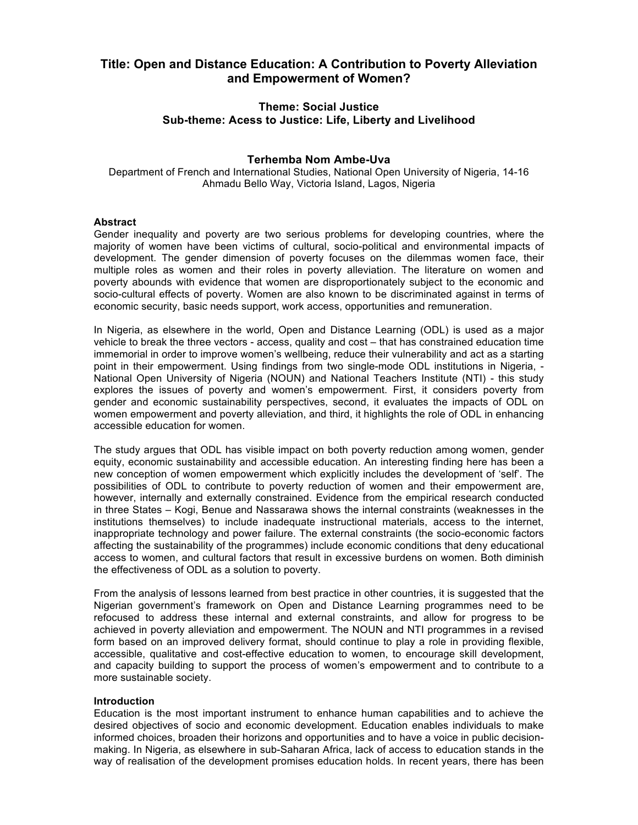# **Title: Open and Distance Education: A Contribution to Poverty Alleviation and Empowerment of Women?**

# **Theme: Social Justice Sub-theme: Acess to Justice: Life, Liberty and Livelihood**

# **Terhemba Nom Ambe-Uva**

Department of French and International Studies, National Open University of Nigeria, 14-16 Ahmadu Bello Way, Victoria Island, Lagos, Nigeria

# **Abstract**

Gender inequality and poverty are two serious problems for developing countries, where the majority of women have been victims of cultural, socio-political and environmental impacts of development. The gender dimension of poverty focuses on the dilemmas women face, their multiple roles as women and their roles in poverty alleviation. The literature on women and poverty abounds with evidence that women are disproportionately subject to the economic and socio-cultural effects of poverty. Women are also known to be discriminated against in terms of economic security, basic needs support, work access, opportunities and remuneration.

In Nigeria, as elsewhere in the world, Open and Distance Learning (ODL) is used as a major vehicle to break the three vectors - access, quality and cost – that has constrained education time immemorial in order to improve women's wellbeing, reduce their vulnerability and act as a starting point in their empowerment. Using findings from two single-mode ODL institutions in Nigeria, - National Open University of Nigeria (NOUN) and National Teachers Institute (NTI) - this study explores the issues of poverty and women's empowerment. First, it considers poverty from gender and economic sustainability perspectives, second, it evaluates the impacts of ODL on women empowerment and poverty alleviation, and third, it highlights the role of ODL in enhancing accessible education for women.

The study argues that ODL has visible impact on both poverty reduction among women, gender equity, economic sustainability and accessible education. An interesting finding here has been a new conception of women empowerment which explicitly includes the development of 'self'. The possibilities of ODL to contribute to poverty reduction of women and their empowerment are, however, internally and externally constrained. Evidence from the empirical research conducted in three States – Kogi, Benue and Nassarawa shows the internal constraints (weaknesses in the institutions themselves) to include inadequate instructional materials, access to the internet, inappropriate technology and power failure. The external constraints (the socio-economic factors affecting the sustainability of the programmes) include economic conditions that deny educational access to women, and cultural factors that result in excessive burdens on women. Both diminish the effectiveness of ODL as a solution to poverty.

From the analysis of lessons learned from best practice in other countries, it is suggested that the Nigerian government's framework on Open and Distance Learning programmes need to be refocused to address these internal and external constraints, and allow for progress to be achieved in poverty alleviation and empowerment. The NOUN and NTI programmes in a revised form based on an improved delivery format, should continue to play a role in providing flexible, accessible, qualitative and cost-effective education to women, to encourage skill development, and capacity building to support the process of women's empowerment and to contribute to a more sustainable society.

# **Introduction**

Education is the most important instrument to enhance human capabilities and to achieve the desired objectives of socio and economic development. Education enables individuals to make informed choices, broaden their horizons and opportunities and to have a voice in public decisionmaking. In Nigeria, as elsewhere in sub-Saharan Africa, lack of access to education stands in the way of realisation of the development promises education holds. In recent years, there has been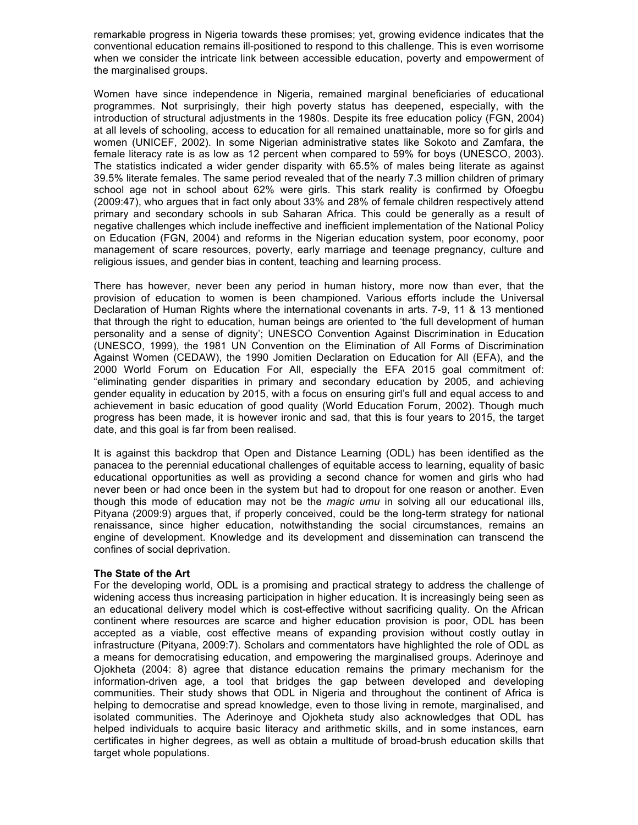remarkable progress in Nigeria towards these promises; yet, growing evidence indicates that the conventional education remains ill-positioned to respond to this challenge. This is even worrisome when we consider the intricate link between accessible education, poverty and empowerment of the marginalised groups.

Women have since independence in Nigeria, remained marginal beneficiaries of educational programmes. Not surprisingly, their high poverty status has deepened, especially, with the introduction of structural adjustments in the 1980s. Despite its free education policy (FGN, 2004) at all levels of schooling, access to education for all remained unattainable, more so for girls and women (UNICEF, 2002). In some Nigerian administrative states like Sokoto and Zamfara, the female literacy rate is as low as 12 percent when compared to 59% for boys (UNESCO, 2003). The statistics indicated a wider gender disparity with 65.5% of males being literate as against 39.5% literate females. The same period revealed that of the nearly 7.3 million children of primary school age not in school about 62% were girls. This stark reality is confirmed by Ofoegbu (2009:47), who argues that in fact only about 33% and 28% of female children respectively attend primary and secondary schools in sub Saharan Africa. This could be generally as a result of negative challenges which include ineffective and inefficient implementation of the National Policy on Education (FGN, 2004) and reforms in the Nigerian education system, poor economy, poor management of scare resources, poverty, early marriage and teenage pregnancy, culture and religious issues, and gender bias in content, teaching and learning process.

There has however, never been any period in human history, more now than ever, that the provision of education to women is been championed. Various efforts include the Universal Declaration of Human Rights where the international covenants in arts. 7-9, 11 & 13 mentioned that through the right to education, human beings are oriented to 'the full development of human personality and a sense of dignity'; UNESCO Convention Against Discrimination in Education (UNESCO, 1999), the 1981 UN Convention on the Elimination of All Forms of Discrimination Against Women (CEDAW), the 1990 Jomitien Declaration on Education for All (EFA), and the 2000 World Forum on Education For All, especially the EFA 2015 goal commitment of: "eliminating gender disparities in primary and secondary education by 2005, and achieving gender equality in education by 2015, with a focus on ensuring girl's full and equal access to and achievement in basic education of good quality (World Education Forum, 2002). Though much progress has been made, it is however ironic and sad, that this is four years to 2015, the target date, and this goal is far from been realised.

It is against this backdrop that Open and Distance Learning (ODL) has been identified as the panacea to the perennial educational challenges of equitable access to learning, equality of basic educational opportunities as well as providing a second chance for women and girls who had never been or had once been in the system but had to dropout for one reason or another. Even though this mode of education may not be the *magic umu* in solving all our educational ills, Pityana (2009:9) argues that, if properly conceived, could be the long-term strategy for national renaissance, since higher education, notwithstanding the social circumstances, remains an engine of development. Knowledge and its development and dissemination can transcend the confines of social deprivation.

# **The State of the Art**

For the developing world, ODL is a promising and practical strategy to address the challenge of widening access thus increasing participation in higher education. It is increasingly being seen as an educational delivery model which is cost-effective without sacrificing quality. On the African continent where resources are scarce and higher education provision is poor, ODL has been accepted as a viable, cost effective means of expanding provision without costly outlay in infrastructure (Pityana, 2009:7). Scholars and commentators have highlighted the role of ODL as a means for democratising education, and empowering the marginalised groups. Aderinoye and Ojokheta (2004: 8) agree that distance education remains the primary mechanism for the information-driven age, a tool that bridges the gap between developed and developing communities. Their study shows that ODL in Nigeria and throughout the continent of Africa is helping to democratise and spread knowledge, even to those living in remote, marginalised, and isolated communities. The Aderinoye and Ojokheta study also acknowledges that ODL has helped individuals to acquire basic literacy and arithmetic skills, and in some instances, earn certificates in higher degrees, as well as obtain a multitude of broad-brush education skills that target whole populations.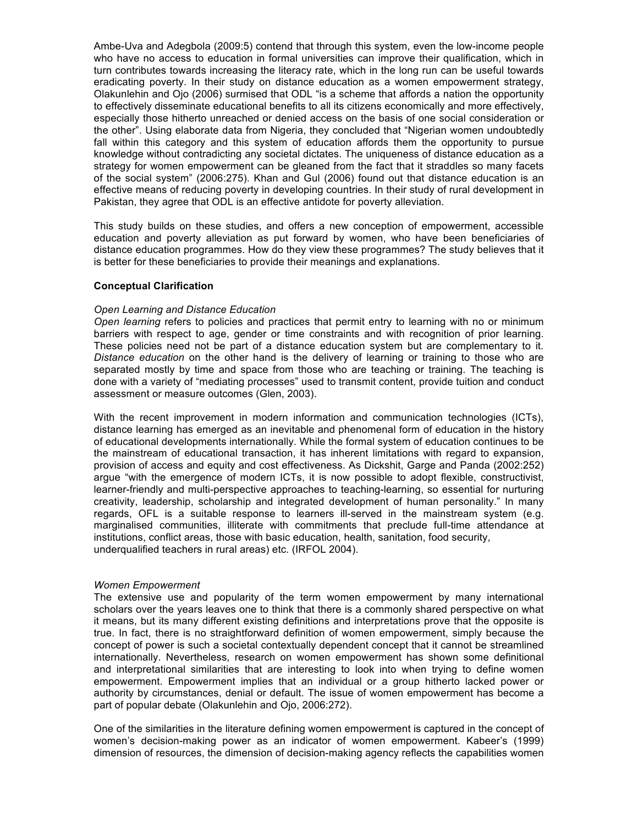Ambe-Uva and Adegbola (2009:5) contend that through this system, even the low-income people who have no access to education in formal universities can improve their qualification, which in turn contributes towards increasing the literacy rate, which in the long run can be useful towards eradicating poverty. In their study on distance education as a women empowerment strategy, Olakunlehin and Ojo (2006) surmised that ODL "is a scheme that affords a nation the opportunity to effectively disseminate educational benefits to all its citizens economically and more effectively, especially those hitherto unreached or denied access on the basis of one social consideration or the other". Using elaborate data from Nigeria, they concluded that "Nigerian women undoubtedly fall within this category and this system of education affords them the opportunity to pursue knowledge without contradicting any societal dictates. The uniqueness of distance education as a strategy for women empowerment can be gleaned from the fact that it straddles so many facets of the social system" (2006:275). Khan and Gul (2006) found out that distance education is an effective means of reducing poverty in developing countries. In their study of rural development in Pakistan, they agree that ODL is an effective antidote for poverty alleviation.

This study builds on these studies, and offers a new conception of empowerment, accessible education and poverty alleviation as put forward by women, who have been beneficiaries of distance education programmes. How do they view these programmes? The study believes that it is better for these beneficiaries to provide their meanings and explanations.

# **Conceptual Clarification**

#### *Open Learning and Distance Education*

*Open learning* refers to policies and practices that permit entry to learning with no or minimum barriers with respect to age, gender or time constraints and with recognition of prior learning. These policies need not be part of a distance education system but are complementary to it. *Distance education* on the other hand is the delivery of learning or training to those who are separated mostly by time and space from those who are teaching or training. The teaching is done with a variety of "mediating processes" used to transmit content, provide tuition and conduct assessment or measure outcomes (Glen, 2003).

With the recent improvement in modern information and communication technologies (ICTs), distance learning has emerged as an inevitable and phenomenal form of education in the history of educational developments internationally. While the formal system of education continues to be the mainstream of educational transaction, it has inherent limitations with regard to expansion, provision of access and equity and cost effectiveness. As Dickshit, Garge and Panda (2002:252) argue "with the emergence of modern ICTs, it is now possible to adopt flexible, constructivist, learner-friendly and multi-perspective approaches to teaching-learning, so essential for nurturing creativity, leadership, scholarship and integrated development of human personality." In many regards, OFL is a suitable response to learners ill-served in the mainstream system (e.g. marginalised communities, illiterate with commitments that preclude full-time attendance at institutions, conflict areas, those with basic education, health, sanitation, food security, underqualified teachers in rural areas) etc. (IRFOL 2004).

#### *Women Empowerment*

The extensive use and popularity of the term women empowerment by many international scholars over the years leaves one to think that there is a commonly shared perspective on what it means, but its many different existing definitions and interpretations prove that the opposite is true. In fact, there is no straightforward definition of women empowerment, simply because the concept of power is such a societal contextually dependent concept that it cannot be streamlined internationally. Nevertheless, research on women empowerment has shown some definitional and interpretational similarities that are interesting to look into when trying to define women empowerment. Empowerment implies that an individual or a group hitherto lacked power or authority by circumstances, denial or default. The issue of women empowerment has become a part of popular debate (Olakunlehin and Ojo, 2006:272).

One of the similarities in the literature defining women empowerment is captured in the concept of women's decision-making power as an indicator of women empowerment. Kabeer's (1999) dimension of resources, the dimension of decision-making agency reflects the capabilities women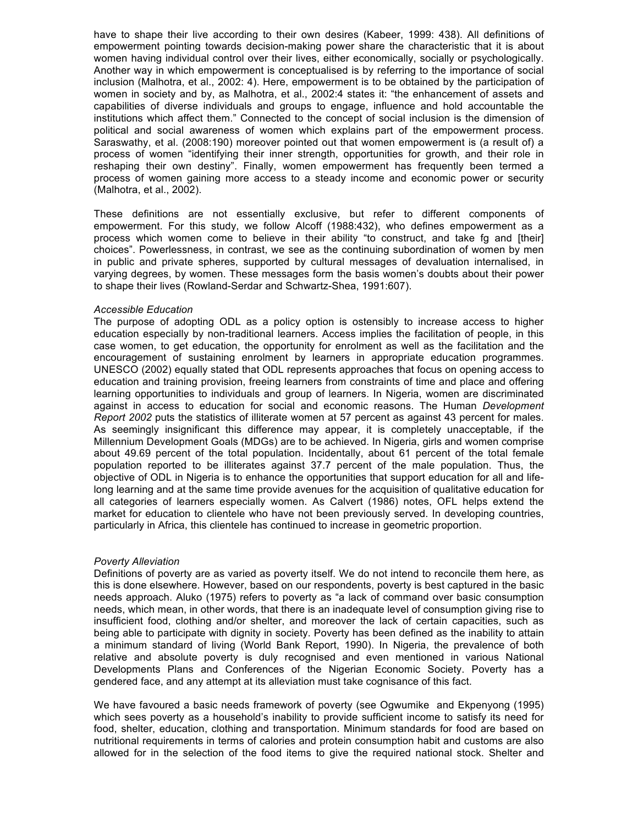have to shape their live according to their own desires (Kabeer, 1999: 438). All definitions of empowerment pointing towards decision-making power share the characteristic that it is about women having individual control over their lives, either economically, socially or psychologically. Another way in which empowerment is conceptualised is by referring to the importance of social inclusion (Malhotra, et al., 2002: 4). Here, empowerment is to be obtained by the participation of women in society and by, as Malhotra, et al., 2002:4 states it: "the enhancement of assets and capabilities of diverse individuals and groups to engage, influence and hold accountable the institutions which affect them." Connected to the concept of social inclusion is the dimension of political and social awareness of women which explains part of the empowerment process. Saraswathy, et al. (2008:190) moreover pointed out that women empowerment is (a result of) a process of women "identifying their inner strength, opportunities for growth, and their role in reshaping their own destiny". Finally, women empowerment has frequently been termed a process of women gaining more access to a steady income and economic power or security (Malhotra, et al., 2002).

These definitions are not essentially exclusive, but refer to different components of empowerment. For this study, we follow Alcoff (1988:432), who defines empowerment as a process which women come to believe in their ability "to construct, and take fg and [their] choices". Powerlessness, in contrast, we see as the continuing subordination of women by men in public and private spheres, supported by cultural messages of devaluation internalised, in varying degrees, by women. These messages form the basis women's doubts about their power to shape their lives (Rowland-Serdar and Schwartz-Shea, 1991:607).

#### *Accessible Education*

The purpose of adopting ODL as a policy option is ostensibly to increase access to higher education especially by non-traditional learners. Access implies the facilitation of people, in this case women, to get education, the opportunity for enrolment as well as the facilitation and the encouragement of sustaining enrolment by learners in appropriate education programmes. UNESCO (2002) equally stated that ODL represents approaches that focus on opening access to education and training provision, freeing learners from constraints of time and place and offering learning opportunities to individuals and group of learners. In Nigeria, women are discriminated against in access to education for social and economic reasons. The Human *Development Report 2002* puts the statistics of illiterate women at 57 percent as against 43 percent for males. As seemingly insignificant this difference may appear, it is completely unacceptable, if the Millennium Development Goals (MDGs) are to be achieved. In Nigeria, girls and women comprise about 49.69 percent of the total population. Incidentally, about 61 percent of the total female population reported to be illiterates against 37.7 percent of the male population. Thus, the objective of ODL in Nigeria is to enhance the opportunities that support education for all and lifelong learning and at the same time provide avenues for the acquisition of qualitative education for all categories of learners especially women. As Calvert (1986) notes, OFL helps extend the market for education to clientele who have not been previously served. In developing countries, particularly in Africa, this clientele has continued to increase in geometric proportion.

# *Poverty Alleviation*

Definitions of poverty are as varied as poverty itself. We do not intend to reconcile them here, as this is done elsewhere. However, based on our respondents, poverty is best captured in the basic needs approach. Aluko (1975) refers to poverty as "a lack of command over basic consumption needs, which mean, in other words, that there is an inadequate level of consumption giving rise to insufficient food, clothing and/or shelter, and moreover the lack of certain capacities, such as being able to participate with dignity in society. Poverty has been defined as the inability to attain a minimum standard of living (World Bank Report, 1990). In Nigeria, the prevalence of both relative and absolute poverty is duly recognised and even mentioned in various National Developments Plans and Conferences of the Nigerian Economic Society. Poverty has a gendered face, and any attempt at its alleviation must take cognisance of this fact.

We have favoured a basic needs framework of poverty (see Ogwumike and Ekpenyong (1995) which sees poverty as a household's inability to provide sufficient income to satisfy its need for food, shelter, education, clothing and transportation. Minimum standards for food are based on nutritional requirements in terms of calories and protein consumption habit and customs are also allowed for in the selection of the food items to give the required national stock. Shelter and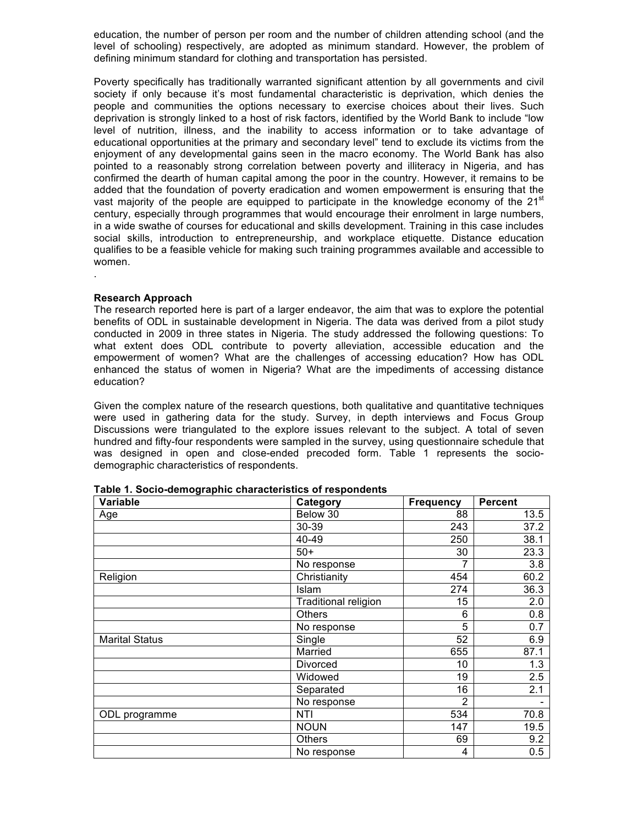education, the number of person per room and the number of children attending school (and the level of schooling) respectively, are adopted as minimum standard. However, the problem of defining minimum standard for clothing and transportation has persisted.

Poverty specifically has traditionally warranted significant attention by all governments and civil society if only because it's most fundamental characteristic is deprivation, which denies the people and communities the options necessary to exercise choices about their lives. Such deprivation is strongly linked to a host of risk factors, identified by the World Bank to include "low level of nutrition, illness, and the inability to access information or to take advantage of educational opportunities at the primary and secondary level" tend to exclude its victims from the enjoyment of any developmental gains seen in the macro economy. The World Bank has also pointed to a reasonably strong correlation between poverty and illiteracy in Nigeria, and has confirmed the dearth of human capital among the poor in the country. However, it remains to be added that the foundation of poverty eradication and women empowerment is ensuring that the vast majority of the people are equipped to participate in the knowledge economy of the  $21^{st}$ century, especially through programmes that would encourage their enrolment in large numbers, in a wide swathe of courses for educational and skills development. Training in this case includes social skills, introduction to entrepreneurship, and workplace etiquette. Distance education qualifies to be a feasible vehicle for making such training programmes available and accessible to women.

# **Research Approach**

.

The research reported here is part of a larger endeavor, the aim that was to explore the potential benefits of ODL in sustainable development in Nigeria. The data was derived from a pilot study conducted in 2009 in three states in Nigeria. The study addressed the following questions: To what extent does ODL contribute to poverty alleviation, accessible education and the empowerment of women? What are the challenges of accessing education? How has ODL enhanced the status of women in Nigeria? What are the impediments of accessing distance education?

Given the complex nature of the research questions, both qualitative and quantitative techniques were used in gathering data for the study. Survey, in depth interviews and Focus Group Discussions were triangulated to the explore issues relevant to the subject. A total of seven hundred and fifty-four respondents were sampled in the survey, using questionnaire schedule that was designed in open and close-ended precoded form. Table 1 represents the sociodemographic characteristics of respondents.

| Variable              | Category                    | <b>Frequency</b> | <b>Percent</b> |
|-----------------------|-----------------------------|------------------|----------------|
| Age                   | Below 30                    | 88               | 13.5           |
|                       | 30-39                       | 243              | 37.2           |
|                       | 40-49                       | 250              | 38.1           |
|                       | $50+$                       | 30               | 23.3           |
|                       | No response                 | 7                | 3.8            |
| Religion              | Christianity                | 454              | 60.2           |
|                       | Islam                       | 274              | 36.3           |
|                       | <b>Traditional religion</b> | 15               | 2.0            |
|                       | <b>Others</b>               | 6                | 0.8            |
|                       | No response                 | 5                | 0.7            |
| <b>Marital Status</b> | Single                      | 52               | 6.9            |
|                       | Married                     | 655              | 87.1           |
|                       | Divorced                    | 10               | 1.3            |
|                       | Widowed                     | 19               | 2.5            |
|                       | Separated                   | 16               | 2.1            |
|                       | No response                 | 2                |                |
| ODL programme         | <b>NTI</b>                  | 534              | 70.8           |
|                       | <b>NOUN</b>                 | 147              | 19.5           |
|                       | <b>Others</b>               | 69               | 9.2            |
|                       | No response                 | 4                | 0.5            |

**Table 1. Socio-demographic characteristics of respondents**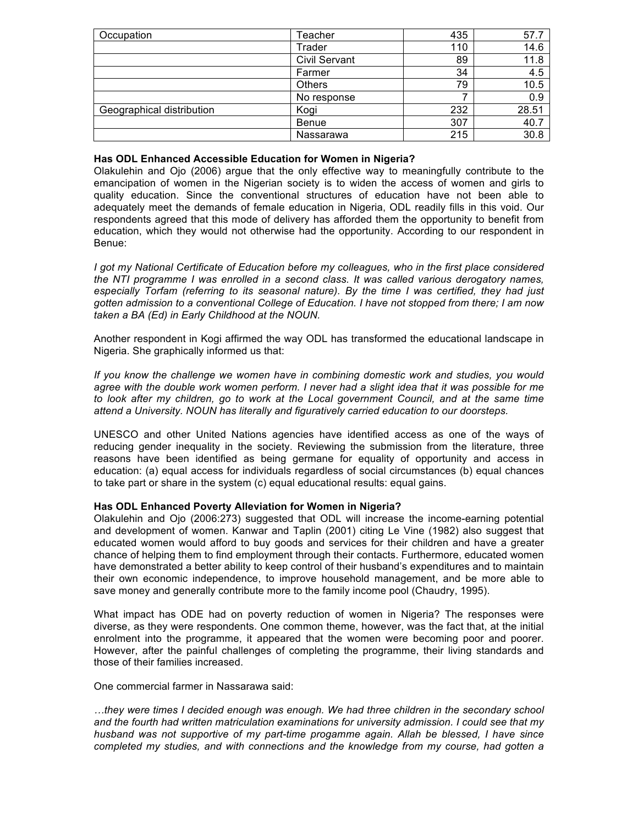| Occupation                | Teacher              | 435 | 57.7  |
|---------------------------|----------------------|-----|-------|
|                           | Trader               | 110 | 14.6  |
|                           | <b>Civil Servant</b> | 89  | 11.8  |
|                           | Farmer               | 34  | 4.5   |
|                           | <b>Others</b>        | 79  | 10.5  |
|                           | No response          |     | 0.9   |
| Geographical distribution | Kogi                 | 232 | 28.51 |
|                           | Benue                | 307 | 40.7  |
|                           | Nassarawa            | 215 | 30.8  |

### **Has ODL Enhanced Accessible Education for Women in Nigeria?**

Olakulehin and Ojo (2006) argue that the only effective way to meaningfully contribute to the emancipation of women in the Nigerian society is to widen the access of women and girls to quality education. Since the conventional structures of education have not been able to adequately meet the demands of female education in Nigeria, ODL readily fills in this void. Our respondents agreed that this mode of delivery has afforded them the opportunity to benefit from education, which they would not otherwise had the opportunity. According to our respondent in Benue:

*I got my National Certificate of Education before my colleagues, who in the first place considered the NTI programme I was enrolled in a second class. It was called various derogatory names, especially Torfam (referring to its seasonal nature). By the time I was certified, they had just gotten admission to a conventional College of Education. I have not stopped from there; I am now taken a BA (Ed) in Early Childhood at the NOUN.*

Another respondent in Kogi affirmed the way ODL has transformed the educational landscape in Nigeria. She graphically informed us that:

*If you know the challenge we women have in combining domestic work and studies, you would agree with the double work women perform. I never had a slight idea that it was possible for me to look after my children, go to work at the Local government Council, and at the same time attend a University. NOUN has literally and figuratively carried education to our doorsteps.*

UNESCO and other United Nations agencies have identified access as one of the ways of reducing gender inequality in the society. Reviewing the submission from the literature, three reasons have been identified as being germane for equality of opportunity and access in education: (a) equal access for individuals regardless of social circumstances (b) equal chances to take part or share in the system (c) equal educational results: equal gains.

# **Has ODL Enhanced Poverty Alleviation for Women in Nigeria?**

Olakulehin and Ojo (2006:273) suggested that ODL will increase the income-earning potential and development of women. Kanwar and Taplin (2001) citing Le Vine (1982) also suggest that educated women would afford to buy goods and services for their children and have a greater chance of helping them to find employment through their contacts. Furthermore, educated women have demonstrated a better ability to keep control of their husband's expenditures and to maintain their own economic independence, to improve household management, and be more able to save money and generally contribute more to the family income pool (Chaudry, 1995).

What impact has ODE had on poverty reduction of women in Nigeria? The responses were diverse, as they were respondents. One common theme, however, was the fact that, at the initial enrolment into the programme, it appeared that the women were becoming poor and poorer. However, after the painful challenges of completing the programme, their living standards and those of their families increased.

One commercial farmer in Nassarawa said:

*…they were times I decided enough was enough. We had three children in the secondary school and the fourth had written matriculation examinations for university admission. I could see that my husband was not supportive of my part-time progamme again. Allah be blessed, I have since completed my studies, and with connections and the knowledge from my course, had gotten a*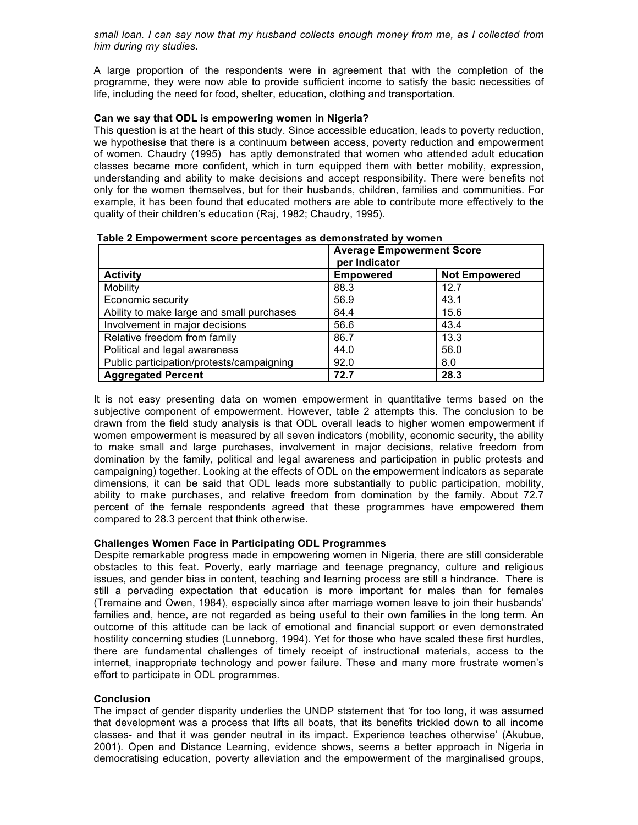*small loan. I can say now that my husband collects enough money from me, as I collected from him during my studies.*

A large proportion of the respondents were in agreement that with the completion of the programme, they were now able to provide sufficient income to satisfy the basic necessities of life, including the need for food, shelter, education, clothing and transportation.

# **Can we say that ODL is empowering women in Nigeria?**

This question is at the heart of this study. Since accessible education, leads to poverty reduction, we hypothesise that there is a continuum between access, poverty reduction and empowerment of women. Chaudry (1995) has aptly demonstrated that women who attended adult education classes became more confident, which in turn equipped them with better mobility, expression, understanding and ability to make decisions and accept responsibility. There were benefits not only for the women themselves, but for their husbands, children, families and communities. For example, it has been found that educated mothers are able to contribute more effectively to the quality of their children's education (Raj, 1982; Chaudry, 1995).

|                                           | <b>Average Empowerment Score</b><br>per Indicator |                      |  |
|-------------------------------------------|---------------------------------------------------|----------------------|--|
| <b>Activity</b>                           | <b>Empowered</b>                                  | <b>Not Empowered</b> |  |
| Mobility                                  | 88.3                                              | 12.7                 |  |
| Economic security                         | 56.9                                              | 43.1                 |  |
| Ability to make large and small purchases | 84.4                                              | 15.6                 |  |
| Involvement in major decisions            | 56.6                                              | 43.4                 |  |
| Relative freedom from family              | 86.7                                              | 13.3                 |  |
| Political and legal awareness             | 44.0                                              | 56.0                 |  |
| Public participation/protests/campaigning | 92.0                                              | 8.0                  |  |
| <b>Aggregated Percent</b>                 | 72.7                                              | 28.3                 |  |

| Table 2 Empowerment score percentages as demonstrated by women |
|----------------------------------------------------------------|
|----------------------------------------------------------------|

It is not easy presenting data on women empowerment in quantitative terms based on the subjective component of empowerment. However, table 2 attempts this. The conclusion to be drawn from the field study analysis is that ODL overall leads to higher women empowerment if women empowerment is measured by all seven indicators (mobility, economic security, the ability to make small and large purchases, involvement in major decisions, relative freedom from domination by the family, political and legal awareness and participation in public protests and campaigning) together. Looking at the effects of ODL on the empowerment indicators as separate dimensions, it can be said that ODL leads more substantially to public participation, mobility, ability to make purchases, and relative freedom from domination by the family. About 72.7 percent of the female respondents agreed that these programmes have empowered them compared to 28.3 percent that think otherwise.

# **Challenges Women Face in Participating ODL Programmes**

Despite remarkable progress made in empowering women in Nigeria, there are still considerable obstacles to this feat. Poverty, early marriage and teenage pregnancy, culture and religious issues, and gender bias in content, teaching and learning process are still a hindrance. There is still a pervading expectation that education is more important for males than for females (Tremaine and Owen, 1984), especially since after marriage women leave to join their husbands' families and, hence, are not regarded as being useful to their own families in the long term. An outcome of this attitude can be lack of emotional and financial support or even demonstrated hostility concerning studies (Lunneborg, 1994). Yet for those who have scaled these first hurdles, there are fundamental challenges of timely receipt of instructional materials, access to the internet, inappropriate technology and power failure. These and many more frustrate women's effort to participate in ODL programmes.

# **Conclusion**

The impact of gender disparity underlies the UNDP statement that 'for too long, it was assumed that development was a process that lifts all boats, that its benefits trickled down to all income classes- and that it was gender neutral in its impact. Experience teaches otherwise' (Akubue, 2001). Open and Distance Learning, evidence shows, seems a better approach in Nigeria in democratising education, poverty alleviation and the empowerment of the marginalised groups,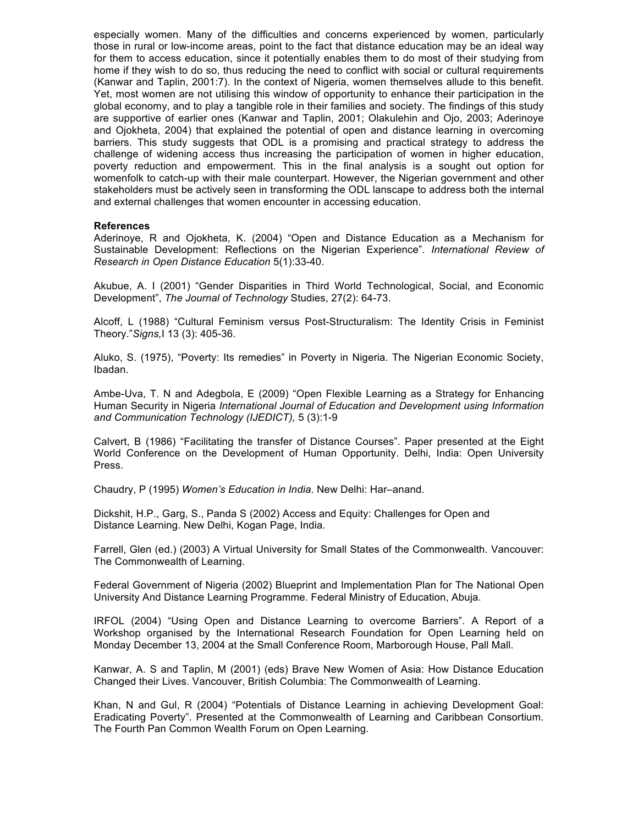especially women. Many of the difficulties and concerns experienced by women, particularly those in rural or low-income areas, point to the fact that distance education may be an ideal way for them to access education, since it potentially enables them to do most of their studying from home if they wish to do so, thus reducing the need to conflict with social or cultural requirements (Kanwar and Taplin, 2001:7). In the context of Nigeria, women themselves allude to this benefit. Yet, most women are not utilising this window of opportunity to enhance their participation in the global economy, and to play a tangible role in their families and society. The findings of this study are supportive of earlier ones (Kanwar and Taplin, 2001; Olakulehin and Ojo, 2003; Aderinoye and Ojokheta, 2004) that explained the potential of open and distance learning in overcoming barriers. This study suggests that ODL is a promising and practical strategy to address the challenge of widening access thus increasing the participation of women in higher education, poverty reduction and empowerment. This in the final analysis is a sought out option for womenfolk to catch-up with their male counterpart. However, the Nigerian government and other stakeholders must be actively seen in transforming the ODL lanscape to address both the internal and external challenges that women encounter in accessing education.

#### **References**

Aderinoye, R and Ojokheta, K. (2004) "Open and Distance Education as a Mechanism for Sustainable Development: Reflections on the Nigerian Experience". *International Review of Research in Open Distance Education* 5(1):33-40.

Akubue, A. I (2001) "Gender Disparities in Third World Technological, Social, and Economic Development", *The Journal of Technology* Studies, 27(2): 64-73.

Alcoff, L (1988) "Cultural Feminism versus Post-Structuralism: The Identity Crisis in Feminist Theory."*Signs,*I 13 (3): 405-36.

Aluko, S. (1975), "Poverty: Its remedies" in Poverty in Nigeria. The Nigerian Economic Society, Ibadan.

Ambe-Uva, T. N and Adegbola, E (2009) "Open Flexible Learning as a Strategy for Enhancing Human Security in Nigeria *International Journal of Education and Development using Information and Communication Technology (IJEDICT),* 5 (3):1-9

Calvert, B (1986) "Facilitating the transfer of Distance Courses". Paper presented at the Eight World Conference on the Development of Human Opportunity. Delhi, India: Open University Press.

Chaudry, P (1995) *Women's Education in India*. New Delhi: Har–anand.

Dickshit, H.P., Garg, S., Panda S (2002) Access and Equity: Challenges for Open and Distance Learning. New Delhi, Kogan Page, India.

Farrell, Glen (ed.) (2003) A Virtual University for Small States of the Commonwealth. Vancouver: The Commonwealth of Learning.

Federal Government of Nigeria (2002) Blueprint and Implementation Plan for The National Open University And Distance Learning Programme. Federal Ministry of Education, Abuja.

IRFOL (2004) "Using Open and Distance Learning to overcome Barriers". A Report of a Workshop organised by the International Research Foundation for Open Learning held on Monday December 13, 2004 at the Small Conference Room, Marborough House, Pall Mall.

Kanwar, A. S and Taplin, M (2001) (eds) Brave New Women of Asia: How Distance Education Changed their Lives. Vancouver, British Columbia: The Commonwealth of Learning.

Khan, N and Gul, R (2004) "Potentials of Distance Learning in achieving Development Goal: Eradicating Poverty". Presented at the Commonwealth of Learning and Caribbean Consortium. The Fourth Pan Common Wealth Forum on Open Learning.